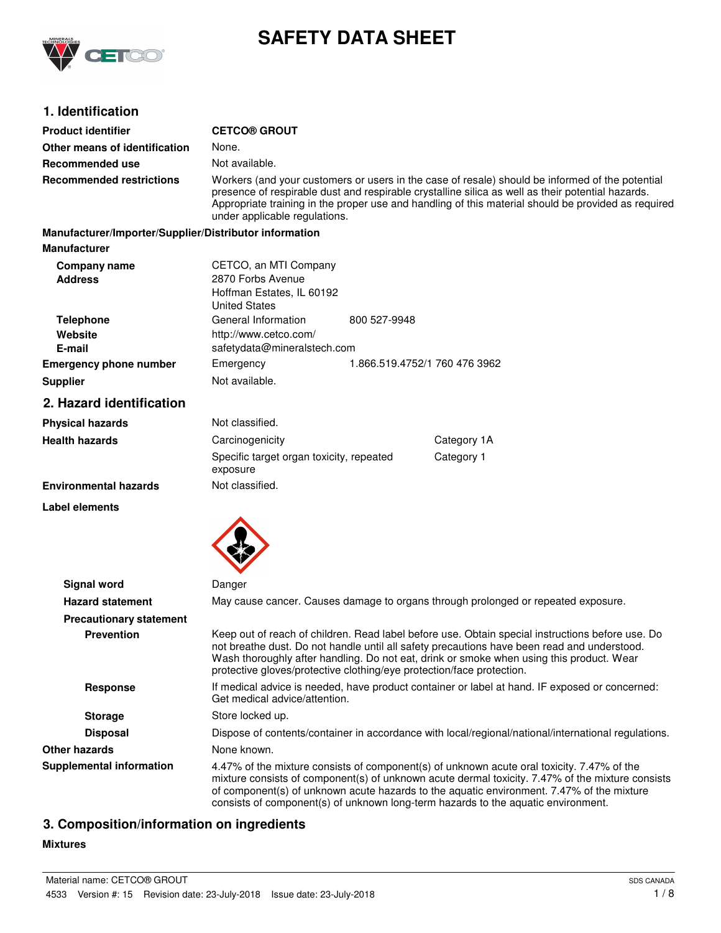

# **SAFETY DATA SHEET**

## **1. Identification**

| <b>Product identifier</b>                              | <b>CETCO® GROUT</b>                                                                                                                                                                                                                                                                                                                                                              |  |  |
|--------------------------------------------------------|----------------------------------------------------------------------------------------------------------------------------------------------------------------------------------------------------------------------------------------------------------------------------------------------------------------------------------------------------------------------------------|--|--|
| Other means of identification                          | None.                                                                                                                                                                                                                                                                                                                                                                            |  |  |
| <b>Recommended use</b>                                 | Not available.                                                                                                                                                                                                                                                                                                                                                                   |  |  |
| <b>Recommended restrictions</b>                        | Workers (and your customers or users in the case of resale) should be informed of the potential<br>presence of respirable dust and respirable crystalline silica as well as their potential hazards.<br>Appropriate training in the proper use and handling of this material should be provided as required<br>under applicable regulations.                                     |  |  |
| Manufacturer/Importer/Supplier/Distributor information |                                                                                                                                                                                                                                                                                                                                                                                  |  |  |
| <b>Manufacturer</b>                                    |                                                                                                                                                                                                                                                                                                                                                                                  |  |  |
| Company name<br><b>Address</b>                         | CETCO, an MTI Company<br>2870 Forbs Avenue<br>Hoffman Estates, IL 60192<br><b>United States</b>                                                                                                                                                                                                                                                                                  |  |  |
| <b>Telephone</b>                                       | General Information<br>800 527-9948                                                                                                                                                                                                                                                                                                                                              |  |  |
| Website<br>E-mail                                      | http://www.cetco.com/<br>safetydata@mineralstech.com                                                                                                                                                                                                                                                                                                                             |  |  |
| <b>Emergency phone number</b>                          | 1.866.519.4752/1 760 476 3962<br>Emergency                                                                                                                                                                                                                                                                                                                                       |  |  |
| <b>Supplier</b>                                        | Not available.                                                                                                                                                                                                                                                                                                                                                                   |  |  |
| 2. Hazard identification                               |                                                                                                                                                                                                                                                                                                                                                                                  |  |  |
| <b>Physical hazards</b>                                | Not classified.                                                                                                                                                                                                                                                                                                                                                                  |  |  |
| <b>Health hazards</b>                                  | Category 1A<br>Carcinogenicity                                                                                                                                                                                                                                                                                                                                                   |  |  |
|                                                        | Category 1<br>Specific target organ toxicity, repeated<br>exposure                                                                                                                                                                                                                                                                                                               |  |  |
| <b>Environmental hazards</b>                           | Not classified.                                                                                                                                                                                                                                                                                                                                                                  |  |  |
| Label elements                                         |                                                                                                                                                                                                                                                                                                                                                                                  |  |  |
|                                                        |                                                                                                                                                                                                                                                                                                                                                                                  |  |  |
| <b>Signal word</b>                                     | Danger                                                                                                                                                                                                                                                                                                                                                                           |  |  |
| <b>Hazard statement</b>                                | May cause cancer. Causes damage to organs through prolonged or repeated exposure.                                                                                                                                                                                                                                                                                                |  |  |
| <b>Precautionary statement</b>                         |                                                                                                                                                                                                                                                                                                                                                                                  |  |  |
| <b>Prevention</b>                                      | Keep out of reach of children. Read label before use. Obtain special instructions before use. Do<br>not breathe dust. Do not handle until all safety precautions have been read and understood.<br>Wash thoroughly after handling. Do not eat, drink or smoke when using this product. Wear<br>protective gloves/protective clothing/eye protection/face protection.             |  |  |
| <b>Response</b>                                        | If medical advice is needed, have product container or label at hand. IF exposed or concerned:<br>Get medical advice/attention.                                                                                                                                                                                                                                                  |  |  |
| <b>Storage</b>                                         | Store locked up.                                                                                                                                                                                                                                                                                                                                                                 |  |  |
| <b>Disposal</b>                                        | Dispose of contents/container in accordance with local/regional/national/international regulations.                                                                                                                                                                                                                                                                              |  |  |
| <b>Other hazards</b>                                   | None known.                                                                                                                                                                                                                                                                                                                                                                      |  |  |
| <b>Supplemental information</b>                        | 4.47% of the mixture consists of component(s) of unknown acute oral toxicity. 7.47% of the<br>mixture consists of component(s) of unknown acute dermal toxicity. 7.47% of the mixture consists<br>of component(s) of unknown acute hazards to the aquatic environment. 7.47% of the mixture<br>consists of component(s) of unknown long-term hazards to the aquatic environment. |  |  |

## **3. Composition/information on ingredients**

### **Mixtures**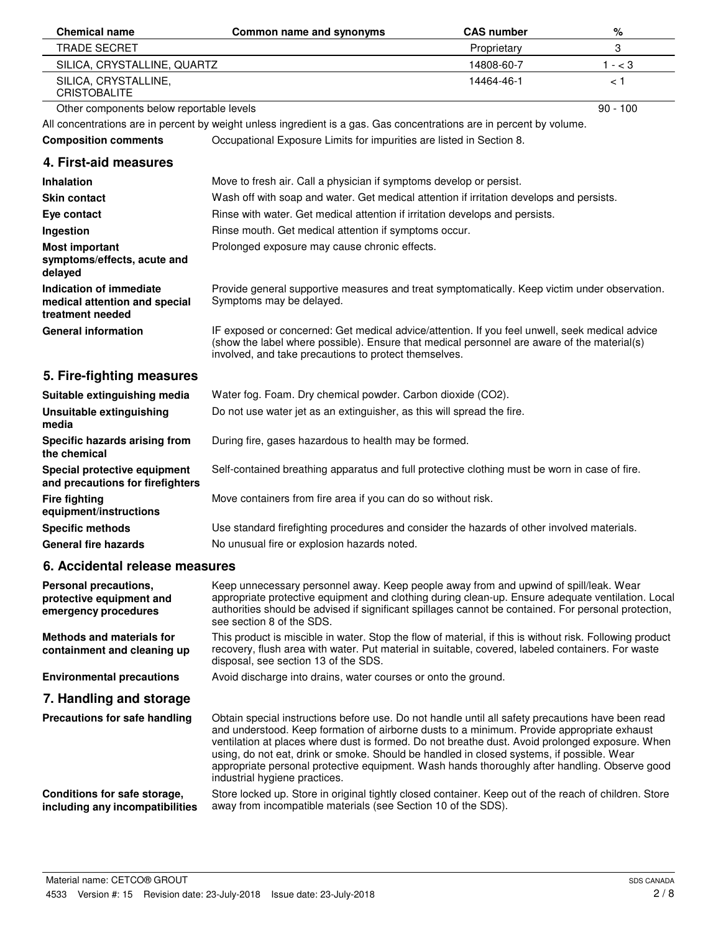| <b>Chemical name</b>                                                         | Common name and synonyms                                                                                                                                                                                                                                                                                                                                                                                                                                                                                                          | <b>CAS number</b> | %          |
|------------------------------------------------------------------------------|-----------------------------------------------------------------------------------------------------------------------------------------------------------------------------------------------------------------------------------------------------------------------------------------------------------------------------------------------------------------------------------------------------------------------------------------------------------------------------------------------------------------------------------|-------------------|------------|
| <b>TRADE SECRET</b>                                                          |                                                                                                                                                                                                                                                                                                                                                                                                                                                                                                                                   | Proprietary       | 3          |
| SILICA, CRYSTALLINE, QUARTZ                                                  |                                                                                                                                                                                                                                                                                                                                                                                                                                                                                                                                   | 14808-60-7        | $1 - < 3$  |
| SILICA, CRYSTALLINE,<br><b>CRISTOBALITE</b>                                  |                                                                                                                                                                                                                                                                                                                                                                                                                                                                                                                                   | 14464-46-1        | ا >        |
| Other components below reportable levels                                     |                                                                                                                                                                                                                                                                                                                                                                                                                                                                                                                                   |                   | $90 - 100$ |
|                                                                              | All concentrations are in percent by weight unless ingredient is a gas. Gas concentrations are in percent by volume.                                                                                                                                                                                                                                                                                                                                                                                                              |                   |            |
| <b>Composition comments</b>                                                  | Occupational Exposure Limits for impurities are listed in Section 8.                                                                                                                                                                                                                                                                                                                                                                                                                                                              |                   |            |
| 4. First-aid measures                                                        |                                                                                                                                                                                                                                                                                                                                                                                                                                                                                                                                   |                   |            |
| <b>Inhalation</b>                                                            | Move to fresh air. Call a physician if symptoms develop or persist.                                                                                                                                                                                                                                                                                                                                                                                                                                                               |                   |            |
| <b>Skin contact</b>                                                          | Wash off with soap and water. Get medical attention if irritation develops and persists.                                                                                                                                                                                                                                                                                                                                                                                                                                          |                   |            |
| Eye contact                                                                  | Rinse with water. Get medical attention if irritation develops and persists.                                                                                                                                                                                                                                                                                                                                                                                                                                                      |                   |            |
| Ingestion                                                                    | Rinse mouth. Get medical attention if symptoms occur.                                                                                                                                                                                                                                                                                                                                                                                                                                                                             |                   |            |
| <b>Most important</b><br>symptoms/effects, acute and<br>delayed              | Prolonged exposure may cause chronic effects.                                                                                                                                                                                                                                                                                                                                                                                                                                                                                     |                   |            |
| Indication of immediate<br>medical attention and special<br>treatment needed | Provide general supportive measures and treat symptomatically. Keep victim under observation.<br>Symptoms may be delayed.                                                                                                                                                                                                                                                                                                                                                                                                         |                   |            |
| <b>General information</b>                                                   | IF exposed or concerned: Get medical advice/attention. If you feel unwell, seek medical advice<br>(show the label where possible). Ensure that medical personnel are aware of the material(s)<br>involved, and take precautions to protect themselves.                                                                                                                                                                                                                                                                            |                   |            |
| 5. Fire-fighting measures                                                    |                                                                                                                                                                                                                                                                                                                                                                                                                                                                                                                                   |                   |            |
| Suitable extinguishing media                                                 | Water fog. Foam. Dry chemical powder. Carbon dioxide (CO2).                                                                                                                                                                                                                                                                                                                                                                                                                                                                       |                   |            |
| Unsuitable extinguishing<br>media                                            | Do not use water jet as an extinguisher, as this will spread the fire.                                                                                                                                                                                                                                                                                                                                                                                                                                                            |                   |            |
| Specific hazards arising from<br>the chemical                                | During fire, gases hazardous to health may be formed.                                                                                                                                                                                                                                                                                                                                                                                                                                                                             |                   |            |
| Special protective equipment<br>and precautions for firefighters             | Self-contained breathing apparatus and full protective clothing must be worn in case of fire.                                                                                                                                                                                                                                                                                                                                                                                                                                     |                   |            |
| <b>Fire fighting</b><br>equipment/instructions                               | Move containers from fire area if you can do so without risk.                                                                                                                                                                                                                                                                                                                                                                                                                                                                     |                   |            |
| <b>Specific methods</b>                                                      | Use standard firefighting procedures and consider the hazards of other involved materials.                                                                                                                                                                                                                                                                                                                                                                                                                                        |                   |            |
| <b>General fire hazards</b>                                                  | No unusual fire or explosion hazards noted.                                                                                                                                                                                                                                                                                                                                                                                                                                                                                       |                   |            |
| 6. Accidental release measures                                               |                                                                                                                                                                                                                                                                                                                                                                                                                                                                                                                                   |                   |            |
| Personal precautions,<br>protective equipment and<br>emergency procedures    | Keep unnecessary personnel away. Keep people away from and upwind of spill/leak. Wear<br>appropriate protective equipment and clothing during clean-up. Ensure adequate ventilation. Local<br>authorities should be advised if significant spillages cannot be contained. For personal protection,<br>see section 8 of the SDS.                                                                                                                                                                                                   |                   |            |
| <b>Methods and materials for</b><br>containment and cleaning up              | This product is miscible in water. Stop the flow of material, if this is without risk. Following product<br>recovery, flush area with water. Put material in suitable, covered, labeled containers. For waste<br>disposal, see section 13 of the SDS.                                                                                                                                                                                                                                                                             |                   |            |
| <b>Environmental precautions</b>                                             | Avoid discharge into drains, water courses or onto the ground.                                                                                                                                                                                                                                                                                                                                                                                                                                                                    |                   |            |
| 7. Handling and storage                                                      |                                                                                                                                                                                                                                                                                                                                                                                                                                                                                                                                   |                   |            |
| Precautions for safe handling                                                | Obtain special instructions before use. Do not handle until all safety precautions have been read<br>and understood. Keep formation of airborne dusts to a minimum. Provide appropriate exhaust<br>ventilation at places where dust is formed. Do not breathe dust. Avoid prolonged exposure. When<br>using, do not eat, drink or smoke. Should be handled in closed systems, if possible. Wear<br>appropriate personal protective equipment. Wash hands thoroughly after handling. Observe good<br>industrial hygiene practices. |                   |            |
| Conditions for safe storage,<br>including any incompatibilities              | Store locked up. Store in original tightly closed container. Keep out of the reach of children. Store<br>away from incompatible materials (see Section 10 of the SDS).                                                                                                                                                                                                                                                                                                                                                            |                   |            |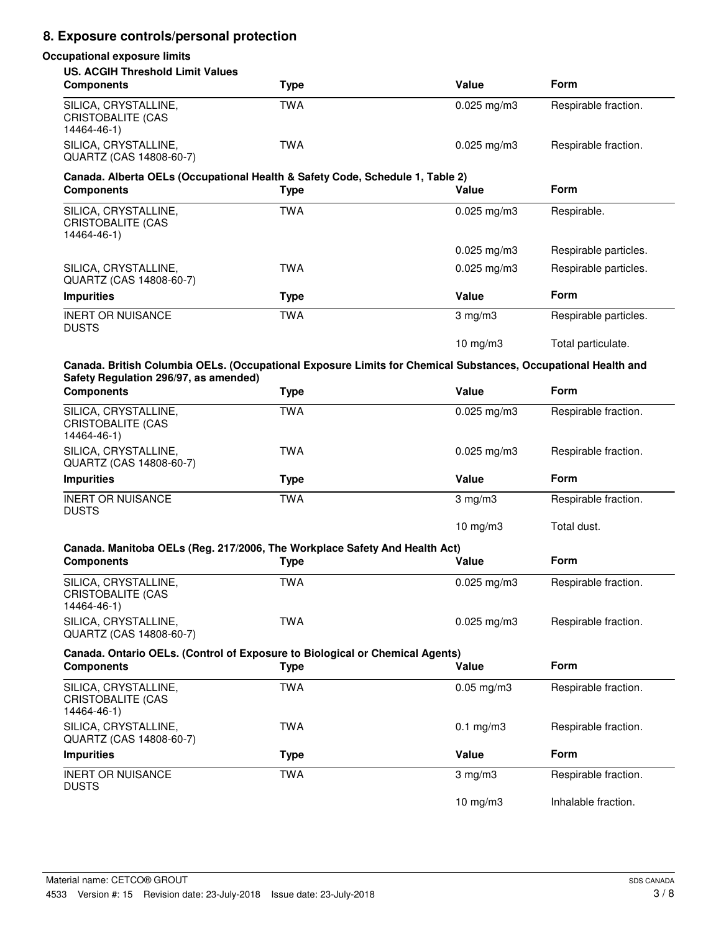# **8. Exposure controls/personal protection**

# **Occupational exposure limits US. ACGIH Threshold Limit Values**

| <b>Components</b>                                                                                                                                      | <b>Type</b> | Value           | Form                  |
|--------------------------------------------------------------------------------------------------------------------------------------------------------|-------------|-----------------|-----------------------|
| SILICA, CRYSTALLINE,<br><b>CRISTOBALITE (CAS</b><br>14464-46-1)                                                                                        | <b>TWA</b>  | $0.025$ mg/m3   | Respirable fraction.  |
| SILICA, CRYSTALLINE,<br>QUARTZ (CAS 14808-60-7)                                                                                                        | <b>TWA</b>  | $0.025$ mg/m3   | Respirable fraction.  |
| Canada. Alberta OELs (Occupational Health & Safety Code, Schedule 1, Table 2)                                                                          |             |                 |                       |
| <b>Components</b>                                                                                                                                      | <b>Type</b> | Value           | Form                  |
| SILICA, CRYSTALLINE,<br><b>CRISTOBALITE (CAS</b><br>14464-46-1)                                                                                        | <b>TWA</b>  | $0.025$ mg/m3   | Respirable.           |
|                                                                                                                                                        |             | $0.025$ mg/m3   | Respirable particles. |
| SILICA, CRYSTALLINE,<br>QUARTZ (CAS 14808-60-7)                                                                                                        | <b>TWA</b>  | $0.025$ mg/m3   | Respirable particles. |
| <b>Impurities</b>                                                                                                                                      | <b>Type</b> | Value           | Form                  |
| <b>INERT OR NUISANCE</b><br><b>DUSTS</b>                                                                                                               | <b>TWA</b>  | $3$ mg/m $3$    | Respirable particles. |
|                                                                                                                                                        |             | 10 mg/m $3$     | Total particulate.    |
| Canada. British Columbia OELs. (Occupational Exposure Limits for Chemical Substances, Occupational Health and<br>Safety Regulation 296/97, as amended) |             |                 |                       |
| <b>Components</b>                                                                                                                                      | <b>Type</b> | Value           | <b>Form</b>           |
| SILICA, CRYSTALLINE,<br><b>CRISTOBALITE (CAS</b><br>14464-46-1)                                                                                        | <b>TWA</b>  | $0.025$ mg/m3   | Respirable fraction.  |
| SILICA, CRYSTALLINE,<br>QUARTZ (CAS 14808-60-7)                                                                                                        | <b>TWA</b>  | $0.025$ mg/m3   | Respirable fraction.  |
| <b>Impurities</b>                                                                                                                                      | <b>Type</b> | Value           | Form                  |
| <b>INERT OR NUISANCE</b><br><b>DUSTS</b>                                                                                                               | <b>TWA</b>  | 3 mg/m3         | Respirable fraction.  |
|                                                                                                                                                        |             | 10 mg/m $3$     | Total dust.           |
| Canada. Manitoba OELs (Reg. 217/2006, The Workplace Safety And Health Act)                                                                             |             |                 |                       |
| <b>Components</b>                                                                                                                                      | <b>Type</b> | Value           | <b>Form</b>           |
| SILICA, CRYSTALLINE,<br><b>CRISTOBALITE (CAS</b><br>14464-46-1)                                                                                        | <b>TWA</b>  | $0.025$ mg/m3   | Respirable fraction.  |
| SILICA, CRYSTALLINE,<br>QUARTZ (CAS 14808-60-7)                                                                                                        | <b>TWA</b>  | $0.025$ mg/m3   | Respirable fraction.  |
| Canada. Ontario OELs. (Control of Exposure to Biological or Chemical Agents)                                                                           |             |                 |                       |
| <b>Components</b>                                                                                                                                      | <b>Type</b> | Value           | Form                  |
| SILICA, CRYSTALLINE,<br><b>CRISTOBALITE (CAS</b><br>14464-46-1)                                                                                        | <b>TWA</b>  | $0.05$ mg/m $3$ | Respirable fraction.  |
| SILICA, CRYSTALLINE,<br>QUARTZ (CAS 14808-60-7)                                                                                                        | <b>TWA</b>  | $0.1$ mg/m $3$  | Respirable fraction.  |
| <b>Impurities</b>                                                                                                                                      | <b>Type</b> | Value           | Form                  |
| <b>INERT OR NUISANCE</b><br><b>DUSTS</b>                                                                                                               | <b>TWA</b>  | $3$ mg/m $3$    | Respirable fraction.  |
|                                                                                                                                                        |             | 10 mg/m3        | Inhalable fraction.   |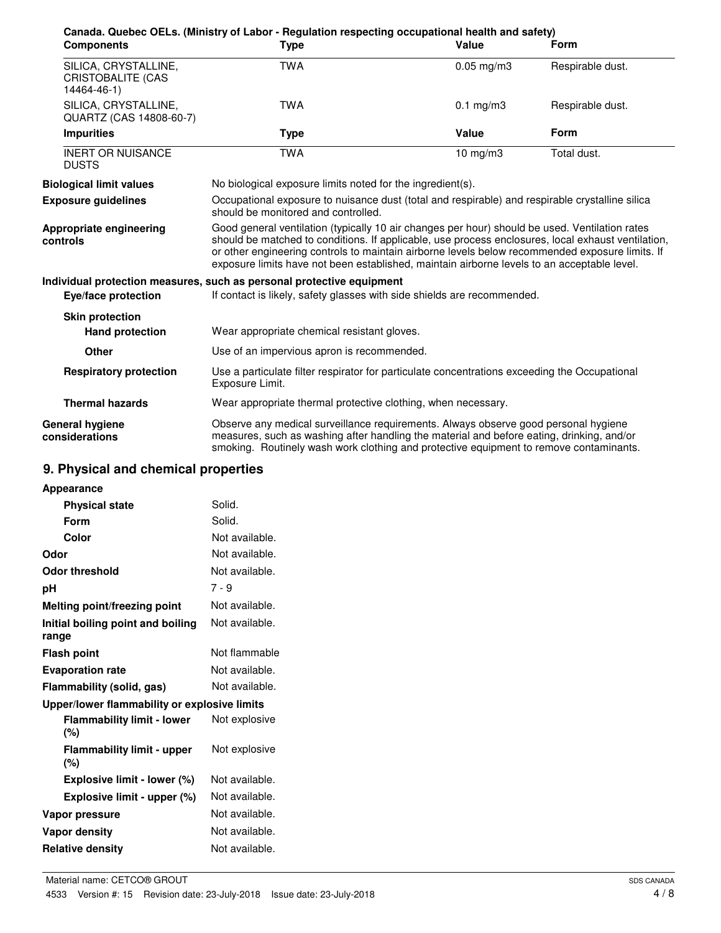| <b>Components</b>                                               | Canada. Quebec OELs. (Ministry of Labor - Regulation respecting occupational health and safety)<br>Type                                                                                                                                                                                                                                                                                                | Value           | <b>Form</b>      |
|-----------------------------------------------------------------|--------------------------------------------------------------------------------------------------------------------------------------------------------------------------------------------------------------------------------------------------------------------------------------------------------------------------------------------------------------------------------------------------------|-----------------|------------------|
|                                                                 |                                                                                                                                                                                                                                                                                                                                                                                                        |                 |                  |
| SILICA, CRYSTALLINE,<br><b>CRISTOBALITE (CAS</b><br>14464-46-1) | <b>TWA</b>                                                                                                                                                                                                                                                                                                                                                                                             | $0.05$ mg/m $3$ | Respirable dust. |
| SILICA, CRYSTALLINE,<br>QUARTZ (CAS 14808-60-7)                 | <b>TWA</b>                                                                                                                                                                                                                                                                                                                                                                                             | $0.1$ mg/m $3$  | Respirable dust. |
| <b>Impurities</b>                                               | <b>Type</b>                                                                                                                                                                                                                                                                                                                                                                                            | <b>Value</b>    | <b>Form</b>      |
| <b>INERT OR NUISANCE</b><br><b>DUSTS</b>                        | <b>TWA</b>                                                                                                                                                                                                                                                                                                                                                                                             | $10$ mg/m $3$   | Total dust.      |
| <b>Biological limit values</b>                                  | No biological exposure limits noted for the ingredient(s).                                                                                                                                                                                                                                                                                                                                             |                 |                  |
| <b>Exposure guidelines</b>                                      | Occupational exposure to nuisance dust (total and respirable) and respirable crystalline silica<br>should be monitored and controlled.                                                                                                                                                                                                                                                                 |                 |                  |
| Appropriate engineering<br>controls                             | Good general ventilation (typically 10 air changes per hour) should be used. Ventilation rates<br>should be matched to conditions. If applicable, use process enclosures, local exhaust ventilation,<br>or other engineering controls to maintain airborne levels below recommended exposure limits. If<br>exposure limits have not been established, maintain airborne levels to an acceptable level. |                 |                  |
|                                                                 | Individual protection measures, such as personal protective equipment                                                                                                                                                                                                                                                                                                                                  |                 |                  |
| Eye/face protection                                             | If contact is likely, safety glasses with side shields are recommended.                                                                                                                                                                                                                                                                                                                                |                 |                  |
| <b>Skin protection</b><br><b>Hand protection</b>                | Wear appropriate chemical resistant gloves.                                                                                                                                                                                                                                                                                                                                                            |                 |                  |
| <b>Other</b>                                                    | Use of an impervious apron is recommended.                                                                                                                                                                                                                                                                                                                                                             |                 |                  |
| <b>Respiratory protection</b>                                   | Use a particulate filter respirator for particulate concentrations exceeding the Occupational<br>Exposure Limit.                                                                                                                                                                                                                                                                                       |                 |                  |
| <b>Thermal hazards</b>                                          | Wear appropriate thermal protective clothing, when necessary.                                                                                                                                                                                                                                                                                                                                          |                 |                  |
| General hygiene<br>considerations                               | Observe any medical surveillance requirements. Always observe good personal hygiene<br>measures, such as washing after handling the material and before eating, drinking, and/or<br>smoking. Routinely wash work clothing and protective equipment to remove contaminants.                                                                                                                             |                 |                  |

# **9. Physical and chemical properties**

| <b>Appearance</b>                            |                |
|----------------------------------------------|----------------|
| <b>Physical state</b>                        | Solid.         |
| Form                                         | Solid.         |
| Color                                        | Not available. |
| Odor                                         | Not available. |
| Odor threshold                               | Not available. |
| рH                                           | $7 - 9$        |
| <b>Melting point/freezing point</b>          | Not available. |
| Initial boiling point and boiling<br>range   | Not available. |
| <b>Flash point</b>                           | Not flammable  |
| Not available.<br><b>Evaporation rate</b>    |                |
| Not available.<br>Flammability (solid, gas)  |                |
| Upper/lower flammability or explosive limits |                |
| <b>Flammability limit - lower</b><br>$(\% )$ | Not explosive  |
| <b>Flammability limit - upper</b><br>$(\% )$ | Not explosive  |
| Explosive limit - lower (%)                  | Not available. |
| Explosive limit - upper (%)                  | Not available. |
| Vapor pressure                               | Not available. |
| Vapor density                                | Not available. |
| <b>Relative density</b>                      | Not available. |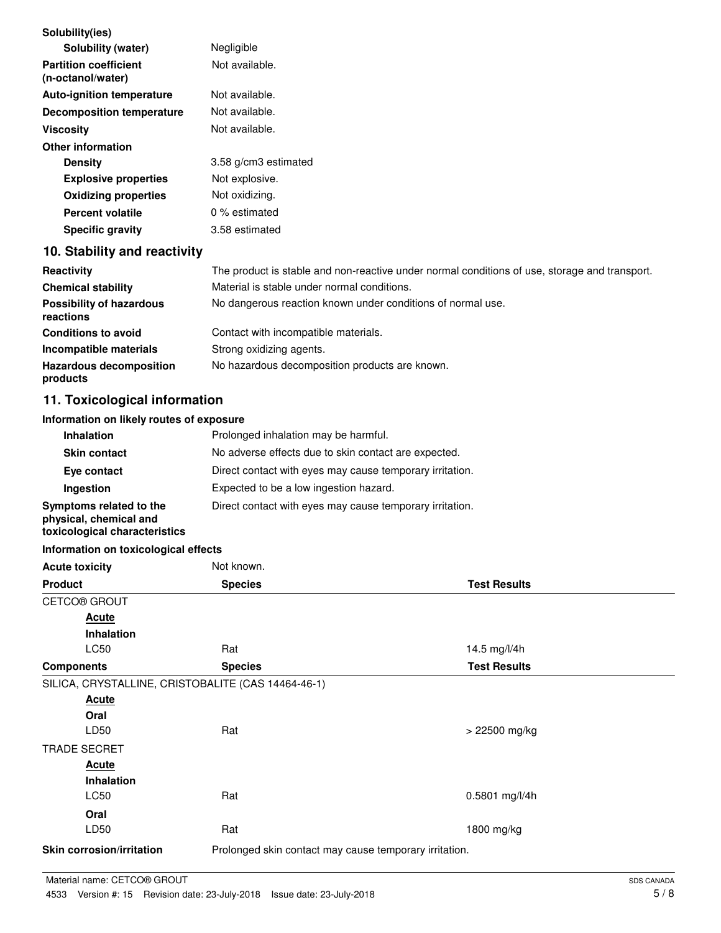| Solubility(ies)                                                                    |                                                                                               |                     |  |
|------------------------------------------------------------------------------------|-----------------------------------------------------------------------------------------------|---------------------|--|
| Solubility (water)                                                                 | Negligible                                                                                    |                     |  |
| <b>Partition coefficient</b><br>(n-octanol/water)                                  | Not available.                                                                                |                     |  |
| Auto-ignition temperature                                                          | Not available.                                                                                |                     |  |
| <b>Decomposition temperature</b>                                                   | Not available.                                                                                |                     |  |
| <b>Viscosity</b>                                                                   | Not available.                                                                                |                     |  |
| <b>Other information</b>                                                           |                                                                                               |                     |  |
| <b>Density</b>                                                                     | 3.58 g/cm3 estimated                                                                          |                     |  |
| <b>Explosive properties</b>                                                        | Not explosive.                                                                                |                     |  |
| <b>Oxidizing properties</b>                                                        | Not oxidizing.                                                                                |                     |  |
| <b>Percent volatile</b>                                                            | 0 % estimated                                                                                 |                     |  |
| <b>Specific gravity</b>                                                            | 3.58 estimated                                                                                |                     |  |
| 10. Stability and reactivity                                                       |                                                                                               |                     |  |
| Reactivity                                                                         | The product is stable and non-reactive under normal conditions of use, storage and transport. |                     |  |
| <b>Chemical stability</b>                                                          | Material is stable under normal conditions.                                                   |                     |  |
| <b>Possibility of hazardous</b><br>reactions                                       | No dangerous reaction known under conditions of normal use.                                   |                     |  |
| <b>Conditions to avoid</b>                                                         | Contact with incompatible materials.                                                          |                     |  |
| Incompatible materials                                                             | Strong oxidizing agents.                                                                      |                     |  |
| <b>Hazardous decomposition</b><br>products                                         | No hazardous decomposition products are known.                                                |                     |  |
| 11. Toxicological information                                                      |                                                                                               |                     |  |
| Information on likely routes of exposure                                           |                                                                                               |                     |  |
| Inhalation                                                                         | Prolonged inhalation may be harmful.                                                          |                     |  |
| <b>Skin contact</b>                                                                | No adverse effects due to skin contact are expected.                                          |                     |  |
| Eye contact                                                                        | Direct contact with eyes may cause temporary irritation.                                      |                     |  |
| Ingestion                                                                          | Expected to be a low ingestion hazard.                                                        |                     |  |
| Symptoms related to the<br>physical, chemical and<br>toxicological characteristics | Direct contact with eyes may cause temporary irritation.                                      |                     |  |
| Information on toxicological effects                                               |                                                                                               |                     |  |
| <b>Acute toxicity</b>                                                              | Not known.                                                                                    |                     |  |
| <b>Product</b>                                                                     | <b>Species</b>                                                                                | <b>Test Results</b> |  |
| CETCO® GROUT                                                                       |                                                                                               |                     |  |
| <b>Acute</b>                                                                       |                                                                                               |                     |  |
| <b>Inhalation</b>                                                                  |                                                                                               |                     |  |
| LC50                                                                               | Rat                                                                                           | 14.5 mg/l/4h        |  |
| <b>Components</b>                                                                  | <b>Species</b>                                                                                | <b>Test Results</b> |  |
| SILICA, CRYSTALLINE, CRISTOBALITE (CAS 14464-46-1)                                 |                                                                                               |                     |  |
| <b>Acute</b>                                                                       |                                                                                               |                     |  |
| Oral                                                                               |                                                                                               |                     |  |
| LD50                                                                               | Rat                                                                                           | $> 22500$ mg/kg     |  |
| <b>TRADE SECRET</b>                                                                |                                                                                               |                     |  |
| <b>Acute</b>                                                                       |                                                                                               |                     |  |
| Inhalation                                                                         |                                                                                               |                     |  |
| LC50                                                                               | Rat                                                                                           | 0.5801 mg/l/4h      |  |
| Oral<br>LD50                                                                       |                                                                                               |                     |  |
|                                                                                    | Rat                                                                                           | 1800 mg/kg          |  |
| <b>Skin corrosion/irritation</b>                                                   | Prolonged skin contact may cause temporary irritation.                                        |                     |  |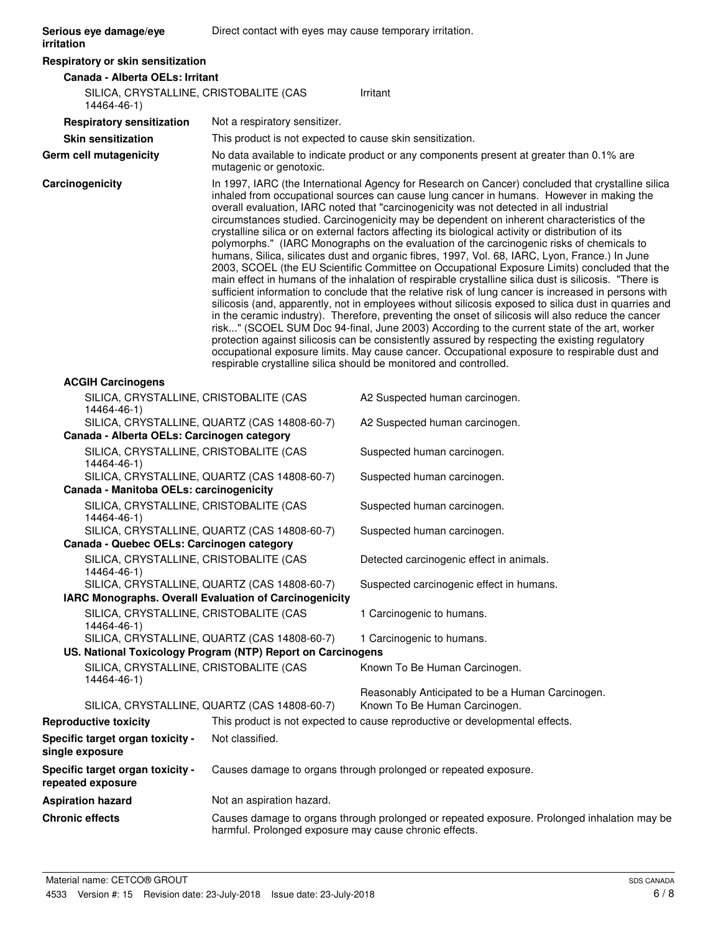| Serious eye damage/eye<br>irritation                   | Direct contact with eyes may cause temporary irritation.    |                                                                                                                                                                                                                                                                                                                                                                                                                                                                                                                                                                                                                                                                                                                                                                                                                                                                                                                                                                                                                                                                                                                                                                                                                                                                                                                                                                                                                                                                                                                                                                                                    |
|--------------------------------------------------------|-------------------------------------------------------------|----------------------------------------------------------------------------------------------------------------------------------------------------------------------------------------------------------------------------------------------------------------------------------------------------------------------------------------------------------------------------------------------------------------------------------------------------------------------------------------------------------------------------------------------------------------------------------------------------------------------------------------------------------------------------------------------------------------------------------------------------------------------------------------------------------------------------------------------------------------------------------------------------------------------------------------------------------------------------------------------------------------------------------------------------------------------------------------------------------------------------------------------------------------------------------------------------------------------------------------------------------------------------------------------------------------------------------------------------------------------------------------------------------------------------------------------------------------------------------------------------------------------------------------------------------------------------------------------------|
| Respiratory or skin sensitization                      |                                                             |                                                                                                                                                                                                                                                                                                                                                                                                                                                                                                                                                                                                                                                                                                                                                                                                                                                                                                                                                                                                                                                                                                                                                                                                                                                                                                                                                                                                                                                                                                                                                                                                    |
| Canada - Alberta OELs: Irritant                        |                                                             |                                                                                                                                                                                                                                                                                                                                                                                                                                                                                                                                                                                                                                                                                                                                                                                                                                                                                                                                                                                                                                                                                                                                                                                                                                                                                                                                                                                                                                                                                                                                                                                                    |
| SILICA, CRYSTALLINE, CRISTOBALITE (CAS<br>14464-46-1)  |                                                             | Irritant                                                                                                                                                                                                                                                                                                                                                                                                                                                                                                                                                                                                                                                                                                                                                                                                                                                                                                                                                                                                                                                                                                                                                                                                                                                                                                                                                                                                                                                                                                                                                                                           |
| <b>Respiratory sensitization</b>                       | Not a respiratory sensitizer.                               |                                                                                                                                                                                                                                                                                                                                                                                                                                                                                                                                                                                                                                                                                                                                                                                                                                                                                                                                                                                                                                                                                                                                                                                                                                                                                                                                                                                                                                                                                                                                                                                                    |
| <b>Skin sensitization</b>                              | This product is not expected to cause skin sensitization.   |                                                                                                                                                                                                                                                                                                                                                                                                                                                                                                                                                                                                                                                                                                                                                                                                                                                                                                                                                                                                                                                                                                                                                                                                                                                                                                                                                                                                                                                                                                                                                                                                    |
| Germ cell mutagenicity                                 | mutagenic or genotoxic.                                     | No data available to indicate product or any components present at greater than 0.1% are                                                                                                                                                                                                                                                                                                                                                                                                                                                                                                                                                                                                                                                                                                                                                                                                                                                                                                                                                                                                                                                                                                                                                                                                                                                                                                                                                                                                                                                                                                           |
| Carcinogenicity                                        |                                                             | In 1997, IARC (the International Agency for Research on Cancer) concluded that crystalline silica<br>inhaled from occupational sources can cause lung cancer in humans. However in making the<br>overall evaluation, IARC noted that "carcinogenicity was not detected in all industrial<br>circumstances studied. Carcinogenicity may be dependent on inherent characteristics of the<br>crystalline silica or on external factors affecting its biological activity or distribution of its<br>polymorphs." (IARC Monographs on the evaluation of the carcinogenic risks of chemicals to<br>humans, Silica, silicates dust and organic fibres, 1997, Vol. 68, IARC, Lyon, France.) In June<br>2003, SCOEL (the EU Scientific Committee on Occupational Exposure Limits) concluded that the<br>main effect in humans of the inhalation of respirable crystalline silica dust is silicosis. "There is<br>sufficient information to conclude that the relative risk of lung cancer is increased in persons with<br>silicosis (and, apparently, not in employees without silicosis exposed to silica dust in quarries and<br>in the ceramic industry). Therefore, preventing the onset of silicosis will also reduce the cancer<br>risk" (SCOEL SUM Doc 94-final, June 2003) According to the current state of the art, worker<br>protection against silicosis can be consistently assured by respecting the existing regulatory<br>occupational exposure limits. May cause cancer. Occupational exposure to respirable dust and<br>respirable crystalline silica should be monitored and controlled. |
| <b>ACGIH Carcinogens</b>                               |                                                             |                                                                                                                                                                                                                                                                                                                                                                                                                                                                                                                                                                                                                                                                                                                                                                                                                                                                                                                                                                                                                                                                                                                                                                                                                                                                                                                                                                                                                                                                                                                                                                                                    |
| SILICA, CRYSTALLINE, CRISTOBALITE (CAS<br>14464-46-1)  |                                                             | A2 Suspected human carcinogen.                                                                                                                                                                                                                                                                                                                                                                                                                                                                                                                                                                                                                                                                                                                                                                                                                                                                                                                                                                                                                                                                                                                                                                                                                                                                                                                                                                                                                                                                                                                                                                     |
| Canada - Alberta OELs: Carcinogen category             | SILICA, CRYSTALLINE, QUARTZ (CAS 14808-60-7)                | A2 Suspected human carcinogen.                                                                                                                                                                                                                                                                                                                                                                                                                                                                                                                                                                                                                                                                                                                                                                                                                                                                                                                                                                                                                                                                                                                                                                                                                                                                                                                                                                                                                                                                                                                                                                     |
| SILICA, CRYSTALLINE, CRISTOBALITE (CAS<br>14464-46-1)  |                                                             | Suspected human carcinogen.                                                                                                                                                                                                                                                                                                                                                                                                                                                                                                                                                                                                                                                                                                                                                                                                                                                                                                                                                                                                                                                                                                                                                                                                                                                                                                                                                                                                                                                                                                                                                                        |
|                                                        | SILICA, CRYSTALLINE, QUARTZ (CAS 14808-60-7)                | Suspected human carcinogen.                                                                                                                                                                                                                                                                                                                                                                                                                                                                                                                                                                                                                                                                                                                                                                                                                                                                                                                                                                                                                                                                                                                                                                                                                                                                                                                                                                                                                                                                                                                                                                        |
| Canada - Manitoba OELs: carcinogenicity                |                                                             |                                                                                                                                                                                                                                                                                                                                                                                                                                                                                                                                                                                                                                                                                                                                                                                                                                                                                                                                                                                                                                                                                                                                                                                                                                                                                                                                                                                                                                                                                                                                                                                                    |
| SILICA, CRYSTALLINE, CRISTOBALITE (CAS<br>14464-46-1)  |                                                             | Suspected human carcinogen.                                                                                                                                                                                                                                                                                                                                                                                                                                                                                                                                                                                                                                                                                                                                                                                                                                                                                                                                                                                                                                                                                                                                                                                                                                                                                                                                                                                                                                                                                                                                                                        |
| Canada - Quebec OELs: Carcinogen category              | SILICA, CRYSTALLINE, QUARTZ (CAS 14808-60-7)                | Suspected human carcinogen.                                                                                                                                                                                                                                                                                                                                                                                                                                                                                                                                                                                                                                                                                                                                                                                                                                                                                                                                                                                                                                                                                                                                                                                                                                                                                                                                                                                                                                                                                                                                                                        |
| SILICA, CRYSTALLINE, CRISTOBALITE (CAS                 |                                                             | Detected carcinogenic effect in animals.                                                                                                                                                                                                                                                                                                                                                                                                                                                                                                                                                                                                                                                                                                                                                                                                                                                                                                                                                                                                                                                                                                                                                                                                                                                                                                                                                                                                                                                                                                                                                           |
| 14464-46-1)                                            |                                                             |                                                                                                                                                                                                                                                                                                                                                                                                                                                                                                                                                                                                                                                                                                                                                                                                                                                                                                                                                                                                                                                                                                                                                                                                                                                                                                                                                                                                                                                                                                                                                                                                    |
| IARC Monographs. Overall Evaluation of Carcinogenicity | SILICA, CRYSTALLINE, QUARTZ (CAS 14808-60-7)                | Suspected carcinogenic effect in humans.                                                                                                                                                                                                                                                                                                                                                                                                                                                                                                                                                                                                                                                                                                                                                                                                                                                                                                                                                                                                                                                                                                                                                                                                                                                                                                                                                                                                                                                                                                                                                           |
| SILICA, CRYSTALLINE, CRISTOBALITE (CAS<br>14464-46-1)  |                                                             | 1 Carcinogenic to humans.                                                                                                                                                                                                                                                                                                                                                                                                                                                                                                                                                                                                                                                                                                                                                                                                                                                                                                                                                                                                                                                                                                                                                                                                                                                                                                                                                                                                                                                                                                                                                                          |
|                                                        | SILICA, CRYSTALLINE, QUARTZ (CAS 14808-60-7)                | 1 Carcinogenic to humans.                                                                                                                                                                                                                                                                                                                                                                                                                                                                                                                                                                                                                                                                                                                                                                                                                                                                                                                                                                                                                                                                                                                                                                                                                                                                                                                                                                                                                                                                                                                                                                          |
|                                                        | US. National Toxicology Program (NTP) Report on Carcinogens |                                                                                                                                                                                                                                                                                                                                                                                                                                                                                                                                                                                                                                                                                                                                                                                                                                                                                                                                                                                                                                                                                                                                                                                                                                                                                                                                                                                                                                                                                                                                                                                                    |
| SILICA, CRYSTALLINE, CRISTOBALITE (CAS<br>14464-46-1)  |                                                             | Known To Be Human Carcinogen.                                                                                                                                                                                                                                                                                                                                                                                                                                                                                                                                                                                                                                                                                                                                                                                                                                                                                                                                                                                                                                                                                                                                                                                                                                                                                                                                                                                                                                                                                                                                                                      |
|                                                        | SILICA, CRYSTALLINE, QUARTZ (CAS 14808-60-7)                | Reasonably Anticipated to be a Human Carcinogen.<br>Known To Be Human Carcinogen.                                                                                                                                                                                                                                                                                                                                                                                                                                                                                                                                                                                                                                                                                                                                                                                                                                                                                                                                                                                                                                                                                                                                                                                                                                                                                                                                                                                                                                                                                                                  |
| <b>Reproductive toxicity</b>                           |                                                             | This product is not expected to cause reproductive or developmental effects.                                                                                                                                                                                                                                                                                                                                                                                                                                                                                                                                                                                                                                                                                                                                                                                                                                                                                                                                                                                                                                                                                                                                                                                                                                                                                                                                                                                                                                                                                                                       |
| Specific target organ toxicity -<br>single exposure    | Not classified.                                             |                                                                                                                                                                                                                                                                                                                                                                                                                                                                                                                                                                                                                                                                                                                                                                                                                                                                                                                                                                                                                                                                                                                                                                                                                                                                                                                                                                                                                                                                                                                                                                                                    |
| Specific target organ toxicity -<br>repeated exposure  |                                                             | Causes damage to organs through prolonged or repeated exposure.                                                                                                                                                                                                                                                                                                                                                                                                                                                                                                                                                                                                                                                                                                                                                                                                                                                                                                                                                                                                                                                                                                                                                                                                                                                                                                                                                                                                                                                                                                                                    |
| <b>Aspiration hazard</b>                               | Not an aspiration hazard.                                   |                                                                                                                                                                                                                                                                                                                                                                                                                                                                                                                                                                                                                                                                                                                                                                                                                                                                                                                                                                                                                                                                                                                                                                                                                                                                                                                                                                                                                                                                                                                                                                                                    |
| <b>Chronic effects</b>                                 |                                                             | Causes damage to organs through prolonged or repeated exposure. Prolonged inhalation may be                                                                                                                                                                                                                                                                                                                                                                                                                                                                                                                                                                                                                                                                                                                                                                                                                                                                                                                                                                                                                                                                                                                                                                                                                                                                                                                                                                                                                                                                                                        |
|                                                        | harmful. Prolonged exposure may cause chronic effects.      |                                                                                                                                                                                                                                                                                                                                                                                                                                                                                                                                                                                                                                                                                                                                                                                                                                                                                                                                                                                                                                                                                                                                                                                                                                                                                                                                                                                                                                                                                                                                                                                                    |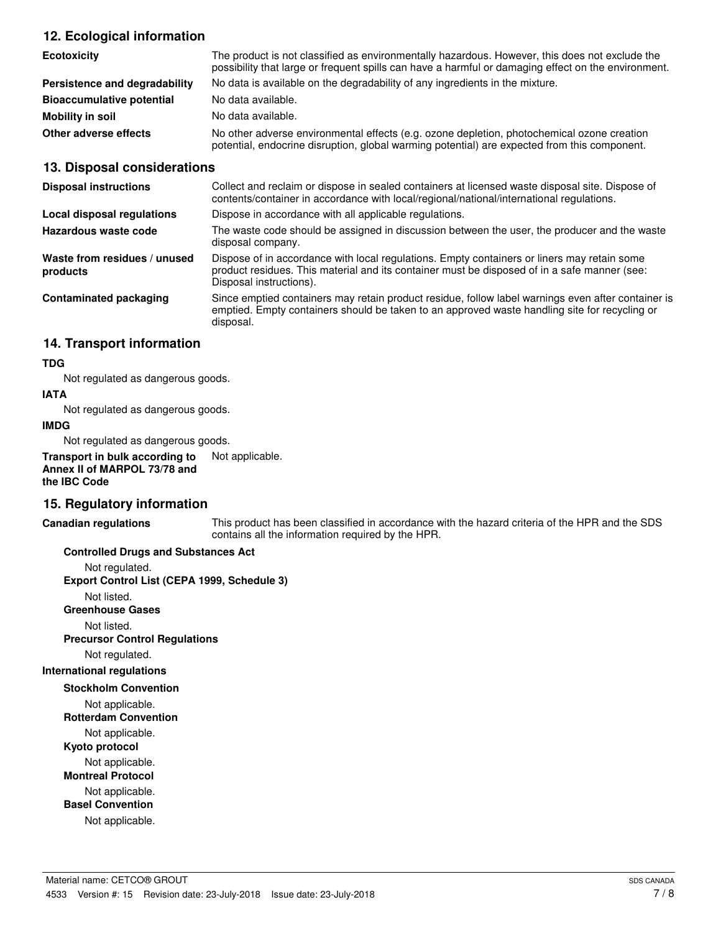## **12. Ecological information**

| <b>Ecotoxicity</b>               | The product is not classified as environmentally hazardous. However, this does not exclude the<br>possibility that large or frequent spills can have a harmful or damaging effect on the environment. |
|----------------------------------|-------------------------------------------------------------------------------------------------------------------------------------------------------------------------------------------------------|
| Persistence and degradability    | No data is available on the degradability of any ingredients in the mixture.                                                                                                                          |
| <b>Bioaccumulative potential</b> | No data available.                                                                                                                                                                                    |
| Mobility in soil                 | No data available.                                                                                                                                                                                    |
| Other adverse effects            | No other adverse environmental effects (e.g. ozone depletion, photochemical ozone creation<br>potential, endocrine disruption, global warming potential) are expected from this component.            |

### **13. Disposal considerations**

| <b>Disposal instructions</b>             | Collect and reclaim or dispose in sealed containers at licensed waste disposal site. Dispose of<br>contents/container in accordance with local/regional/national/international regulations.                            |
|------------------------------------------|------------------------------------------------------------------------------------------------------------------------------------------------------------------------------------------------------------------------|
| Local disposal regulations               | Dispose in accordance with all applicable regulations.                                                                                                                                                                 |
| Hazardous waste code                     | The waste code should be assigned in discussion between the user, the producer and the waste<br>disposal company.                                                                                                      |
| Waste from residues / unused<br>products | Dispose of in accordance with local regulations. Empty containers or liners may retain some<br>product residues. This material and its container must be disposed of in a safe manner (see:<br>Disposal instructions). |
| <b>Contaminated packaging</b>            | Since emptied containers may retain product residue, follow label warnings even after container is<br>emptied. Empty containers should be taken to an approved waste handling site for recycling or<br>disposal.       |

### **14. Transport information**

#### **TDG**

Not regulated as dangerous goods.

#### **IATA**

Not regulated as dangerous goods.

#### **IMDG**

Not regulated as dangerous goods.

**Transport in bulk according to** Not applicable. **Annex II of MARPOL 73/78 and the IBC Code**

#### **15. Regulatory information**

**Canadian regulations**

This product has been classified in accordance with the hazard criteria of the HPR and the SDS contains all the information required by the HPR.

## **Controlled Drugs and Substances Act**

Not regulated. **Export Control List (CEPA 1999, Schedule 3)**

Not listed.

**Greenhouse Gases**

Not listed.

**Precursor Control Regulations**

Not regulated.

#### **International regulations**

**Stockholm Convention**

Not applicable.

**Rotterdam Convention**

Not applicable.

**Kyoto protocol**

Not applicable.

**Montreal Protocol**

Not applicable. **Basel Convention**

Not applicable.